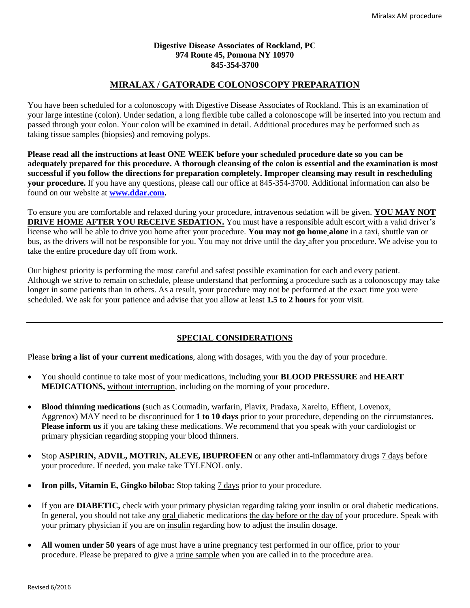#### **Digestive Disease Associates of Rockland, PC 974 Route 45, Pomona NY 10970 845-354-3700**

## **MIRALAX / GATORADE COLONOSCOPY PREPARATION**

You have been scheduled for a colonoscopy with Digestive Disease Associates of Rockland. This is an examination of your large intestine (colon). Under sedation, a long flexible tube called a colonoscope will be inserted into you rectum and passed through your colon. Your colon will be examined in detail. Additional procedures may be performed such as taking tissue samples (biopsies) and removing polyps.

**Please read all the instructions at least ONE WEEK before your scheduled procedure date so you can be adequately prepared for this procedure. A thorough cleansing of the colon is essential and the examination is most successful if you follow the directions for preparation completely. Improper cleansing may result in rescheduling your procedure.** If you have any questions, please call our office at 845-354-3700. Additional information can also be found on our website at **[www.ddar.com.](http://www.ddar.com/)**

To ensure you are comfortable and relaxed during your procedure, intravenous sedation will be given. **YOU MAY NOT DRIVE HOME AFTER YOU RECEIVE SEDATION.** You must have a responsible adult escort with a valid driver's license who will be able to drive you home after your procedure. **You may not go home alone** in a taxi, shuttle van or bus, as the drivers will not be responsible for you. You may not drive until the day after you procedure. We advise you to take the entire procedure day off from work.

Our highest priority is performing the most careful and safest possible examination for each and every patient. Although we strive to remain on schedule, please understand that performing a procedure such as a colonoscopy may take longer in some patients than in others. As a result, your procedure may not be performed at the exact time you were scheduled. We ask for your patience and advise that you allow at least **1.5 to 2 hours** for your visit.

# **SPECIAL CONSIDERATIONS**

Please **bring a list of your current medications**, along with dosages, with you the day of your procedure.

- You should continue to take most of your medications, including your **BLOOD PRESSURE** and **HEART MEDICATIONS,** without interruption, including on the morning of your procedure.
- **Blood thinning medications (**such as Coumadin, warfarin, Plavix, Pradaxa, Xarelto, Effient, Lovenox, Aggrenox) MAY need to be discontinued for **1 to 10 days** prior to your procedure, depending on the circumstances. **Please inform us** if you are taking these medications. We recommend that you speak with your cardiologist or primary physician regarding stopping your blood thinners.
- Stop **ASPIRIN, ADVIL, MOTRIN, ALEVE, IBUPROFEN** or any other anti-inflammatory drugs 7 days before your procedure. If needed, you make take TYLENOL only.
- **Iron pills, Vitamin E, Gingko biloba:** Stop taking 7 days prior to your procedure.
- If you are **DIABETIC,** check with your primary physician regarding taking your insulin or oral diabetic medications. In general, you should not take any <u>oral</u> diabetic medications the day before or the day of your procedure. Speak with your primary physician if you are on insulin regarding how to adjust the insulin dosage.
- **All women under 50 years** of age must have a urine pregnancy test performed in our office, prior to your procedure. Please be prepared to give a urine sample when you are called in to the procedure area.